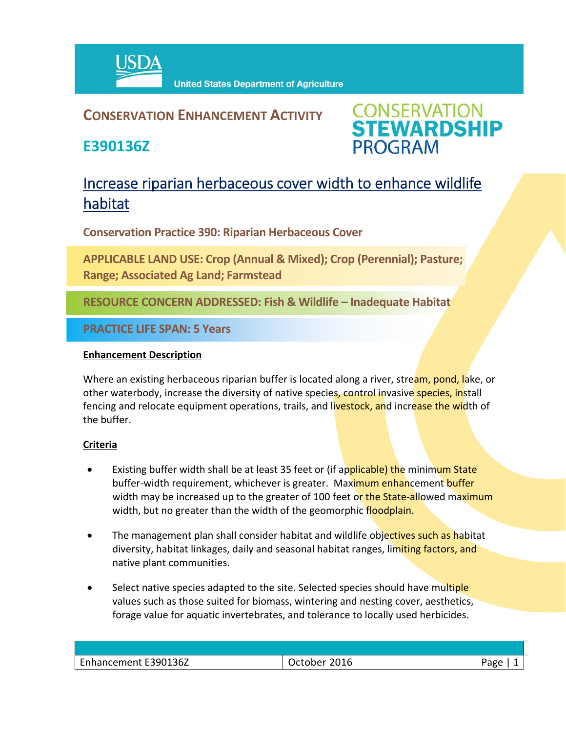

## **CONSERVATION ENHANCEMENT ACTIVITY**

**E390136Z**



# Increase riparian herbaceous cover width to enhance wildlife habitat

**Conservation Practice 390: Riparian Herbaceous Cover**

**APPLICABLE LAND USE: Crop (Annual & Mixed); Crop (Perennial); Pasture; Range; Associated Ag Land; Farmstead**

**RESOURCE CONCERN ADDRESSED: Fish & Wildlife – Inadequate Habitat**

**PRACTICE LIFE SPAN: 5 Years**

#### **Enhancement Description**

Where an existing herbaceous riparian buffer is located along a river, stream, pond, lake, or other waterbody, increase the diversity of native species, control invasive species, install fencing and relocate equipment operations, trails, and livestock, and increase the width of the buffer.

### **Criteria**

- Existing buffer width shall be at least 35 feet or (if applicable) the minimum State buffer-width requirement, whichever is greater. Maximum enhancement buffer width may be increased up to the greater of 100 feet or the State-allowed maximum width, but no greater than the width of the geomorphic floodplain.
- The management plan shall consider habitat and wildlife objectives such as habitat diversity, habitat linkages, daily and seasonal habitat ranges, limiting factors, and native plant communities.
- Select native species adapted to the site. Selected species should have multiple values such as those suited for biomass, wintering and nesting cover, aesthetics, forage value for aquatic invertebrates, and tolerance to locally used herbicides.

| Enhancement E390136Z | October 2016 | Page |
|----------------------|--------------|------|
|                      |              |      |